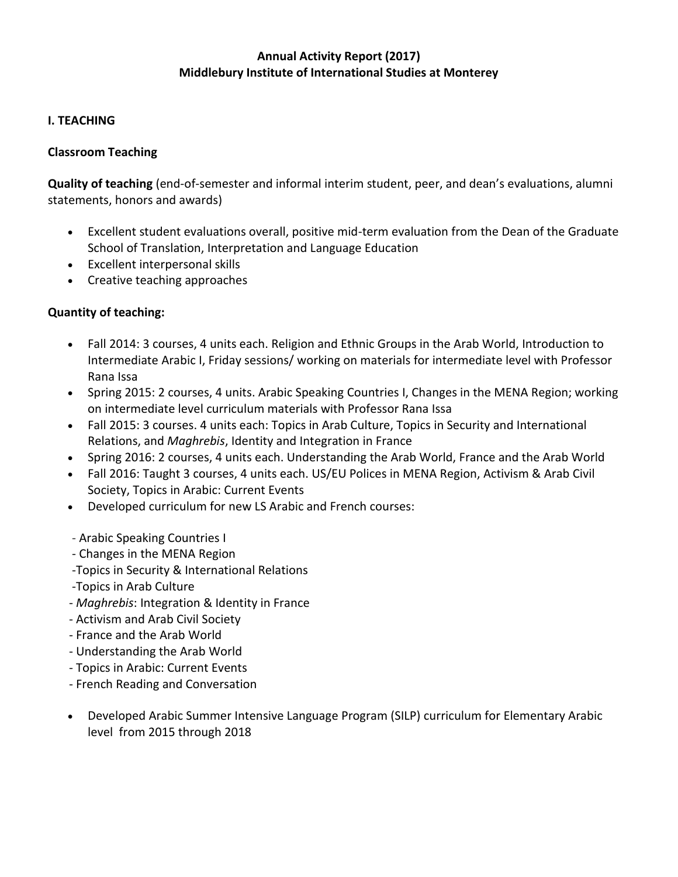## **Annual Activity Report (2017) Middlebury Institute of International Studies at Monterey**

### **I. TEACHING**

#### **Classroom Teaching**

**Quality of teaching** (end-of-semester and informal interim student, peer, and dean's evaluations, alumni statements, honors and awards)

- Excellent student evaluations overall, positive mid-term evaluation from the Dean of the Graduate School of Translation, Interpretation and Language Education
- Excellent interpersonal skills
- Creative teaching approaches

### **Quantity of teaching:**

- Fall 2014: 3 courses, 4 units each. Religion and Ethnic Groups in the Arab World, Introduction to Intermediate Arabic I, Friday sessions/ working on materials for intermediate level with Professor Rana Issa
- Spring 2015: 2 courses, 4 units. Arabic Speaking Countries I, Changes in the MENA Region; working on intermediate level curriculum materials with Professor Rana Issa
- Fall 2015: 3 courses. 4 units each: Topics in Arab Culture, Topics in Security and International Relations, and *Maghrebis*, Identity and Integration in France
- Spring 2016: 2 courses, 4 units each. Understanding the Arab World, France and the Arab World
- Fall 2016: Taught 3 courses, 4 units each. US/EU Polices in MENA Region, Activism & Arab Civil Society, Topics in Arabic: Current Events
- Developed curriculum for new LS Arabic and French courses:
- Arabic Speaking Countries I
- Changes in the MENA Region
- -Topics in Security & International Relations
- -Topics in Arab Culture
- *Maghrebis*: Integration & Identity in France
- Activism and Arab Civil Society
- France and the Arab World
- Understanding the Arab World
- Topics in Arabic: Current Events
- French Reading and Conversation
- Developed Arabic Summer Intensive Language Program (SILP) curriculum for Elementary Arabic level from 2015 through 2018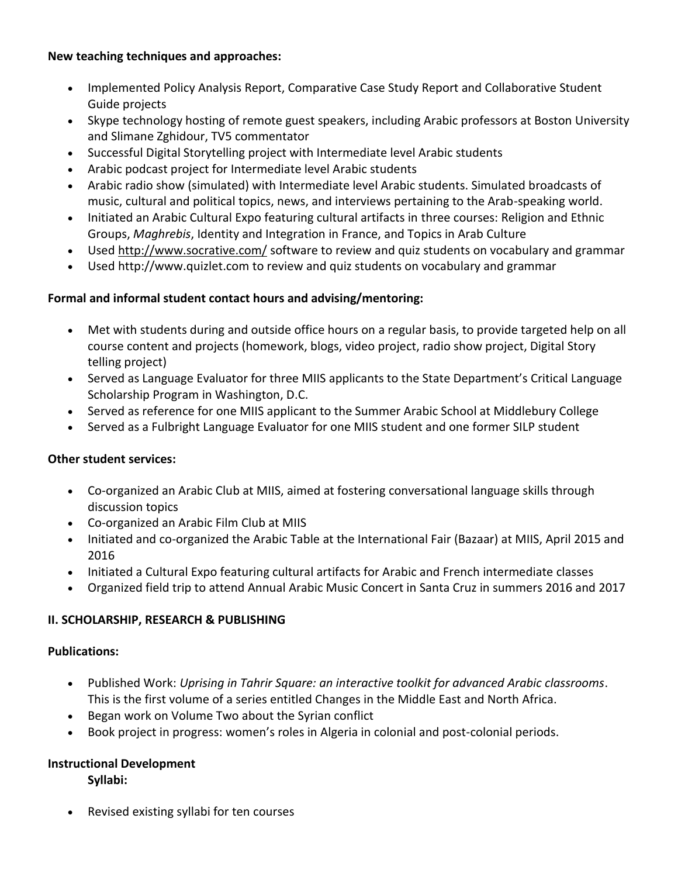#### **New teaching techniques and approaches:**

- Implemented Policy Analysis Report, Comparative Case Study Report and Collaborative Student Guide projects
- Skype technology hosting of remote guest speakers, including Arabic professors at Boston University and Slimane Zghidour, TV5 commentator
- Successful Digital Storytelling project with Intermediate level Arabic students
- Arabic podcast project for Intermediate level Arabic students
- Arabic radio show (simulated) with Intermediate level Arabic students. Simulated broadcasts of music, cultural and political topics, news, and interviews pertaining to the Arab-speaking world.
- Initiated an Arabic Cultural Expo featuring cultural artifacts in three courses: Religion and Ethnic Groups, *Maghrebis*, Identity and Integration in France, and Topics in Arab Culture
- Used http://www.socrative.com/ software to review and quiz students on vocabulary and grammar
- Used http://www.quizlet.com to review and quiz students on vocabulary and grammar

### **Formal and informal student contact hours and advising/mentoring:**

- Met with students during and outside office hours on a regular basis, to provide targeted help on all course content and projects (homework, blogs, video project, radio show project, Digital Story telling project)
- Served as Language Evaluator for three MIIS applicants to the State Department's Critical Language Scholarship Program in Washington, D.C.
- Served as reference for one MIIS applicant to the Summer Arabic School at Middlebury College
- Served as a Fulbright Language Evaluator for one MIIS student and one former SILP student

### **Other student services:**

- Co-organized an Arabic Club at MIIS, aimed at fostering conversational language skills through discussion topics
- Co-organized an Arabic Film Club at MIIS
- Initiated and co-organized the Arabic Table at the International Fair (Bazaar) at MIIS, April 2015 and 2016
- Initiated a Cultural Expo featuring cultural artifacts for Arabic and French intermediate classes
- Organized field trip to attend Annual Arabic Music Concert in Santa Cruz in summers 2016 and 2017

### **II. SCHOLARSHIP, RESEARCH & PUBLISHING**

### **Publications:**

- Published Work: *Uprising in Tahrir Square: an interactive toolkit for advanced Arabic classrooms*. This is the first volume of a series entitled Changes in the Middle East and North Africa.
- Began work on Volume Two about the Syrian conflict
- Book project in progress: women's roles in Algeria in colonial and post-colonial periods.

# **Instructional Development**

**Syllabi:**

• Revised existing syllabi for ten courses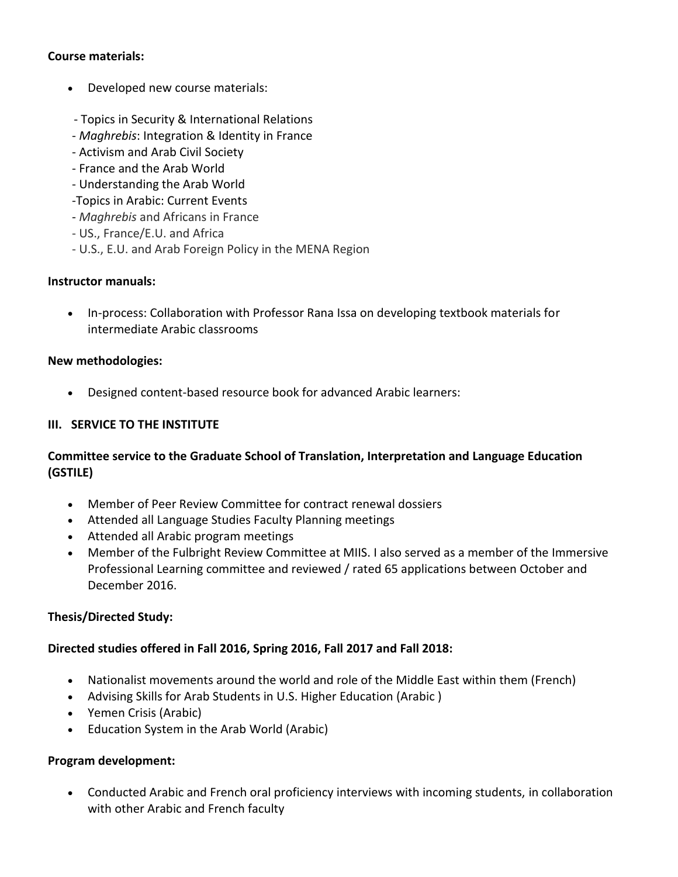#### **Course materials:**

- Developed new course materials:
- Topics in Security & International Relations
- *Maghrebis*: Integration & Identity in France
- Activism and Arab Civil Society
- France and the Arab World
- Understanding the Arab World
- -Topics in Arabic: Current Events
- *Maghrebis* and Africans in France
- US., France/E.U. and Africa
- U.S., E.U. and Arab Foreign Policy in the MENA Region

#### **Instructor manuals:**

• In-process: Collaboration with Professor Rana Issa on developing textbook materials for intermediate Arabic classrooms

### **New methodologies:**

• Designed content-based resource book for advanced Arabic learners:

### **III. SERVICE TO THE INSTITUTE**

# **Committee service to the Graduate School of Translation, Interpretation and Language Education (GSTILE)**

- Member of Peer Review Committee for contract renewal dossiers
- Attended all Language Studies Faculty Planning meetings
- Attended all Arabic program meetings
- Member of the Fulbright Review Committee at MIIS. I also served as a member of the Immersive Professional Learning committee and reviewed / rated 65 applications between October and December 2016.

### **Thesis/Directed Study:**

### **Directed studies offered in Fall 2016, Spring 2016, Fall 2017 and Fall 2018:**

- Nationalist movements around the world and role of the Middle East within them (French)
- Advising Skills for Arab Students in U.S. Higher Education (Arabic )
- Yemen Crisis (Arabic)
- Education System in the Arab World (Arabic)

### **Program development:**

• Conducted Arabic and French oral proficiency interviews with incoming students, in collaboration with other Arabic and French faculty